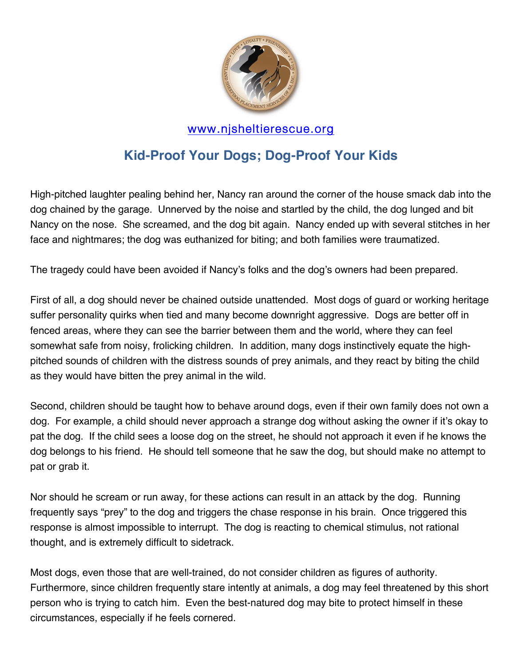

## www.njsheltierescue.org

## **Kid-Proof Your Dogs; Dog-Proof Your Kids**

High-pitched laughter pealing behind her, Nancy ran around the corner of the house smack dab into the dog chained by the garage. Unnerved by the noise and startled by the child, the dog lunged and bit Nancy on the nose. She screamed, and the dog bit again. Nancy ended up with several stitches in her face and nightmares; the dog was euthanized for biting; and both families were traumatized.

The tragedy could have been avoided if Nancy's folks and the dog's owners had been prepared.

First of all, a dog should never be chained outside unattended. Most dogs of guard or working heritage suffer personality quirks when tied and many become downright aggressive. Dogs are better off in fenced areas, where they can see the barrier between them and the world, where they can feel somewhat safe from noisy, frolicking children. In addition, many dogs instinctively equate the highpitched sounds of children with the distress sounds of prey animals, and they react by biting the child as they would have bitten the prey animal in the wild.

Second, children should be taught how to behave around dogs, even if their own family does not own a dog. For example, a child should never approach a strange dog without asking the owner if it's okay to pat the dog. If the child sees a loose dog on the street, he should not approach it even if he knows the dog belongs to his friend. He should tell someone that he saw the dog, but should make no attempt to pat or grab it.

Nor should he scream or run away, for these actions can result in an attack by the dog. Running frequently says "prey" to the dog and triggers the chase response in his brain. Once triggered this response is almost impossible to interrupt. The dog is reacting to chemical stimulus, not rational thought, and is extremely difficult to sidetrack.

Most dogs, even those that are well-trained, do not consider children as figures of authority. Furthermore, since children frequently stare intently at animals, a dog may feel threatened by this short person who is trying to catch him. Even the best-natured dog may bite to protect himself in these circumstances, especially if he feels cornered.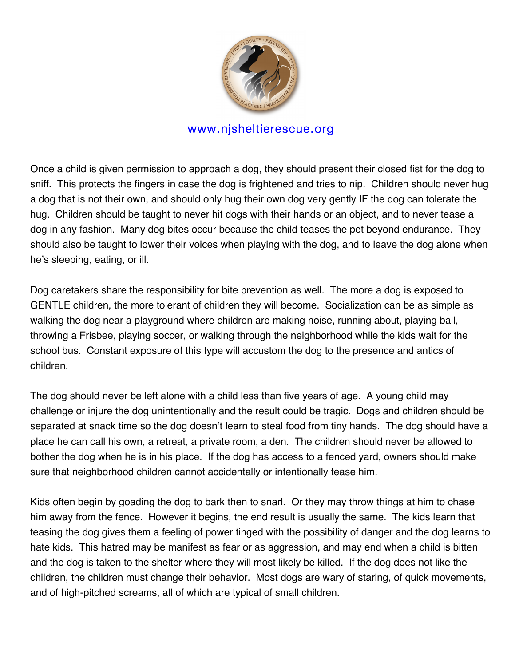

## www.njsheltierescue.org

Once a child is given permission to approach a dog, they should present their closed fist for the dog to sniff. This protects the fingers in case the dog is frightened and tries to nip. Children should never hug a dog that is not their own, and should only hug their own dog very gently IF the dog can tolerate the hug. Children should be taught to never hit dogs with their hands or an object, and to never tease a dog in any fashion. Many dog bites occur because the child teases the pet beyond endurance. They should also be taught to lower their voices when playing with the dog, and to leave the dog alone when he's sleeping, eating, or ill.

Dog caretakers share the responsibility for bite prevention as well. The more a dog is exposed to GENTLE children, the more tolerant of children they will become. Socialization can be as simple as walking the dog near a playground where children are making noise, running about, playing ball, throwing a Frisbee, playing soccer, or walking through the neighborhood while the kids wait for the school bus. Constant exposure of this type will accustom the dog to the presence and antics of children.

The dog should never be left alone with a child less than five years of age. A young child may challenge or injure the dog unintentionally and the result could be tragic. Dogs and children should be separated at snack time so the dog doesn't learn to steal food from tiny hands. The dog should have a place he can call his own, a retreat, a private room, a den. The children should never be allowed to bother the dog when he is in his place. If the dog has access to a fenced yard, owners should make sure that neighborhood children cannot accidentally or intentionally tease him.

Kids often begin by goading the dog to bark then to snarl. Or they may throw things at him to chase him away from the fence. However it begins, the end result is usually the same. The kids learn that teasing the dog gives them a feeling of power tinged with the possibility of danger and the dog learns to hate kids. This hatred may be manifest as fear or as aggression, and may end when a child is bitten and the dog is taken to the shelter where they will most likely be killed. If the dog does not like the children, the children must change their behavior. Most dogs are wary of staring, of quick movements, and of high-pitched screams, all of which are typical of small children.